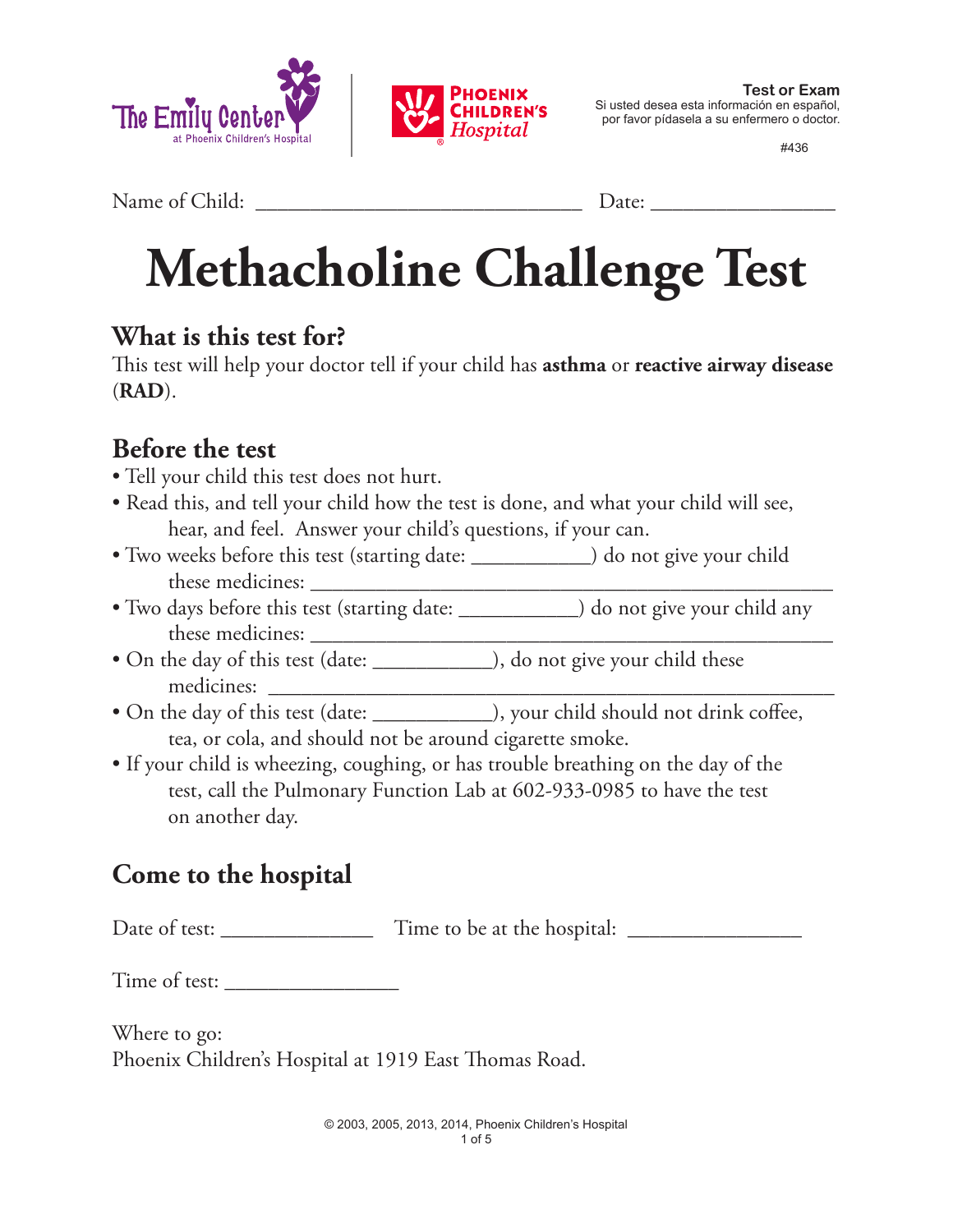



#436

Name of Child: \_\_\_\_\_\_\_\_\_\_\_\_\_\_\_\_\_\_\_\_\_\_\_\_\_\_\_\_\_\_ Date: \_\_\_\_\_\_\_\_\_\_\_\_\_\_\_\_\_

# **Methacholine Challenge Test**

#### **What is this test for?**

This test will help your doctor tell if your child has **asthma** or **reactive airway disease** (**RAD**).

#### **Before the test**

- Tell your child this test does not hurt.
- Read this, and tell your child how the test is done, and what your child will see, hear, and feel. Answer your child's questions, if your can.
- Two weeks before this test (starting date: \_\_\_\_\_\_\_\_\_\_\_\_\_) do not give your child these medicines: \_\_\_\_\_\_\_\_\_\_\_\_\_\_\_\_\_\_\_\_\_\_\_\_\_\_\_\_\_\_\_\_\_\_\_\_\_\_\_\_\_\_\_\_\_\_\_\_
- Two days before this test (starting date: \_\_\_\_\_\_\_\_\_\_\_) do not give your child any these medicines: \_\_\_\_\_\_\_\_\_\_\_\_\_\_\_\_\_\_\_\_\_\_\_\_\_\_\_\_\_\_\_\_\_\_\_\_\_\_\_\_\_\_\_\_\_\_\_\_
- On the day of this test (date: \_\_\_\_\_\_\_\_\_\_\_\_), do not give your child these medicines: \_\_\_\_\_\_\_\_\_\_\_\_\_\_\_\_\_\_\_\_\_\_\_\_\_\_\_\_\_\_\_\_\_\_\_\_\_\_\_\_\_\_\_\_\_\_\_\_\_\_\_\_
- On the day of this test (date: \_\_\_\_\_\_\_\_\_\_\_), your child should not drink coffee, tea, or cola, and should not be around cigarette smoke.
- If your child is wheezing, coughing, or has trouble breathing on the day of the test, call the Pulmonary Function Lab at 602-933-0985 to have the test on another day.

### **Come to the hospital**

Date of test: \_\_\_\_\_\_\_\_\_\_\_\_\_\_ Time to be at the hospital: \_\_\_\_\_\_\_\_\_\_\_\_\_\_\_\_

Time of test:

Where to go: Phoenix Children's Hospital at 1919 East Thomas Road.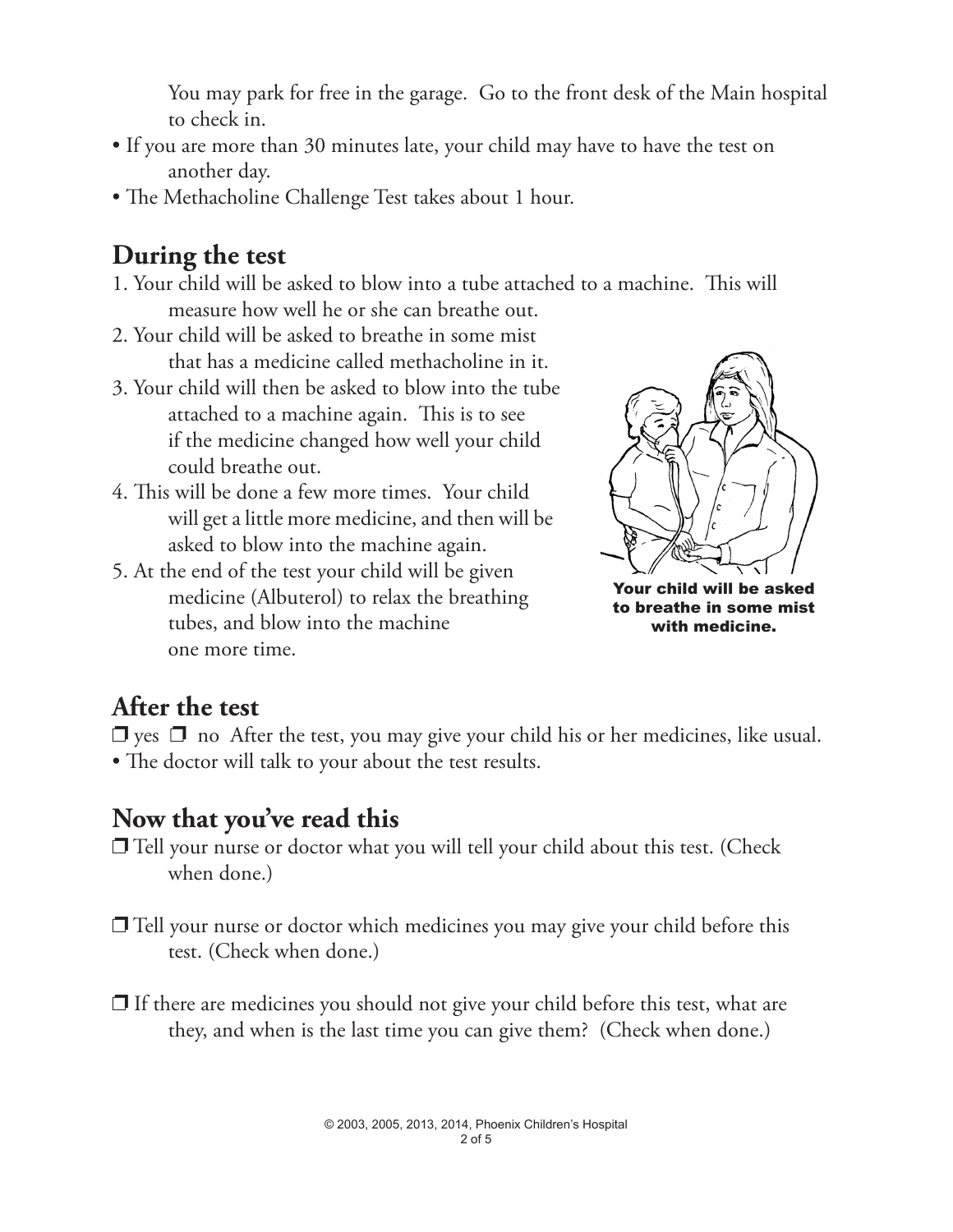You may park for free in the garage. Go to the front desk of the Main hospital to check in.

- If you are more than 30 minutes late, your child may have to have the test on another day.
- The Methacholine Challenge Test takes about 1 hour.

#### **During the test**

- 1. Your child will be asked to blow into a tube attached to a machine. This will measure how well he or she can breathe out.
- 2. Your child will be asked to breathe in some mist that has a medicine called methacholine in it.
- 3. Your child will then be asked to blow into the tube attached to a machine again. This is to see if the medicine changed how well your child could breathe out.
- 4. This will be done a few more times. Your child will get a little more medicine, and then will be asked to blow into the machine again.
- 5. At the end of the test your child will be given medicine (Albuterol) to relax the breathing tubes, and blow into the machine one more time.



Your child will be asked to breathe in some mist with medicine.

#### **After the test**

 $\Box$  yes  $\Box$  no After the test, you may give your child his or her medicines, like usual. • The doctor will talk to your about the test results.

#### **Now that you've read this**

- $\Box$  Tell your nurse or doctor what you will tell your child about this test. (Check when done.)
- $\Box$  Tell your nurse or doctor which medicines you may give your child before this test. (Check when done.)
- $\Box$  If there are medicines you should not give your child before this test, what are they, and when is the last time you can give them? (Check when done.)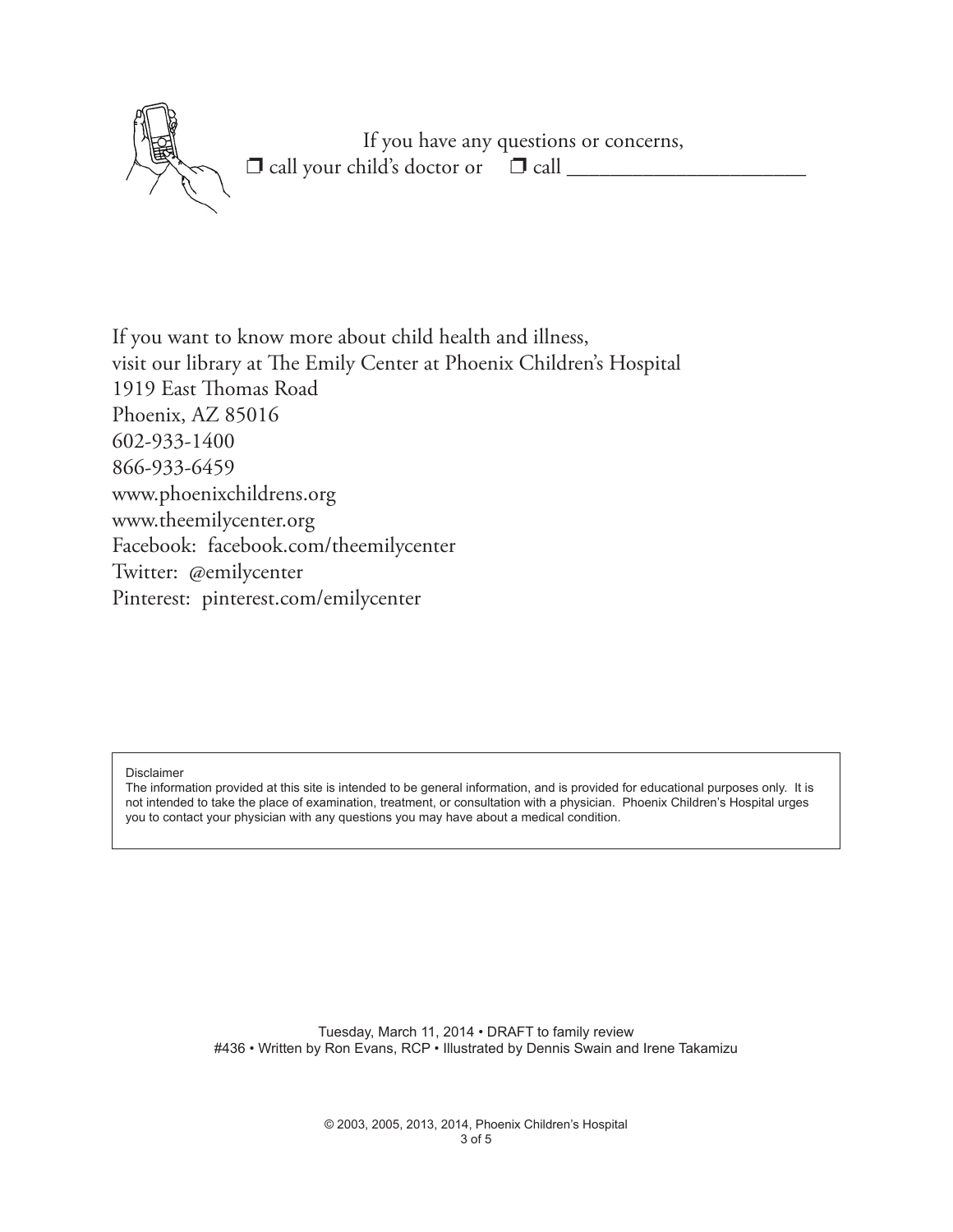

If you want to know more about child health and illness, visit our library at The Emily Center at Phoenix Children's Hospital 1919 East Thomas Road Phoenix, AZ 85016 602-933-1400 866-933-6459 www.phoenixchildrens.org www.theemilycenter.org Facebook: facebook.com/theemilycenter Twitter: @emilycenter Pinterest: pinterest.com/emilycenter

Disclaimer

The information provided at this site is intended to be general information, and is provided for educational purposes only. It is not intended to take the place of examination, treatment, or consultation with a physician. Phoenix Children's Hospital urges you to contact your physician with any questions you may have about a medical condition.

> Tuesday, March 11, 2014 • DRAFT to family review #436 • Written by Ron Evans, RCP • Illustrated by Dennis Swain and Irene Takamizu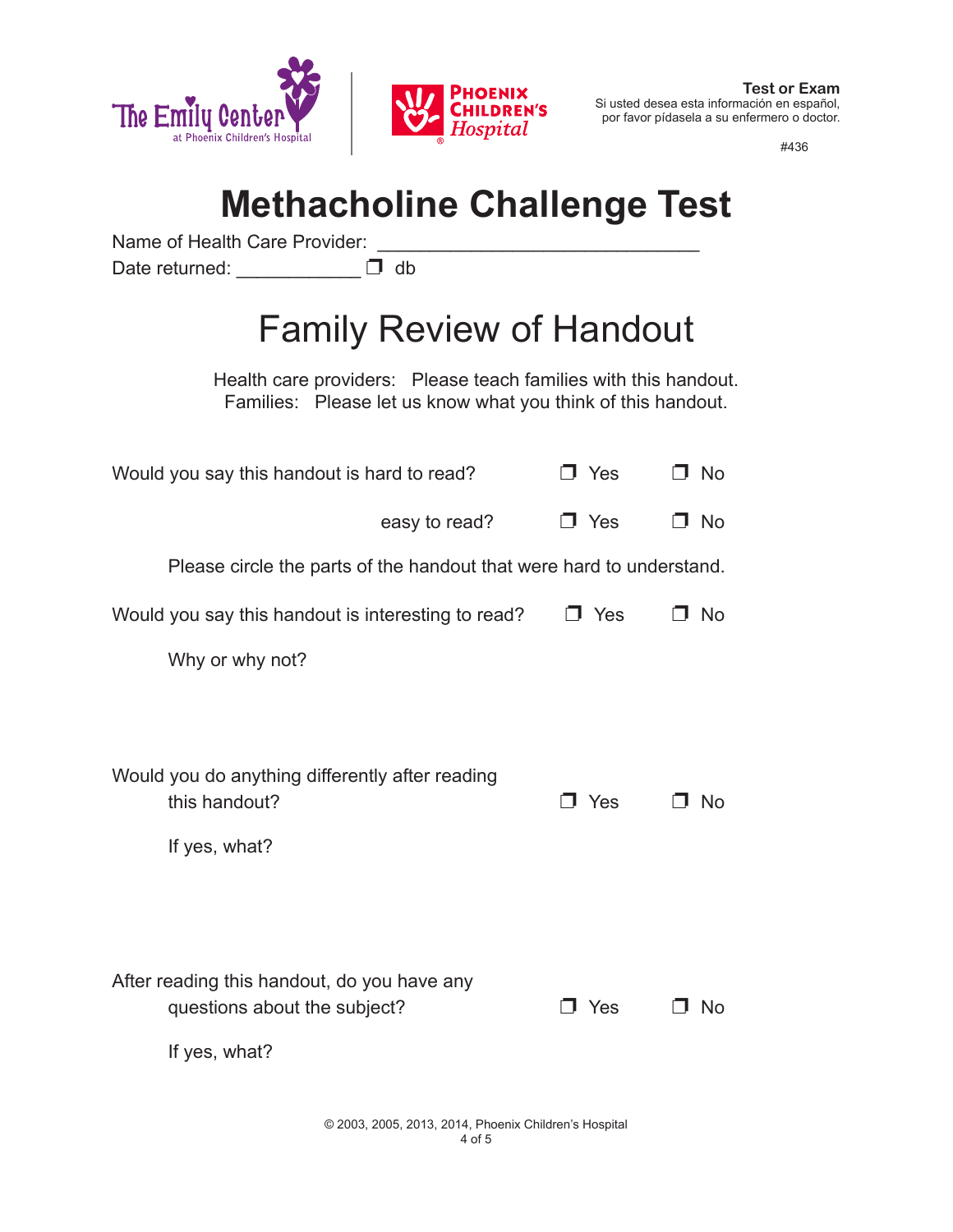

#436

## **Methacholine Challenge Test**

**CHILDREN'S** Hospital

Name of Health Care Provider:

Date returned:  $\Box$  db

## Family Review of Handout

Health care providers: Please teach families with this handout. Families: Please let us know what you think of this handout.

| Would you say this handout is hard to read?                                                  | J Yes      | <b>No</b> |
|----------------------------------------------------------------------------------------------|------------|-----------|
| easy to read?                                                                                | $\Box$ Yes | □ No      |
| Please circle the parts of the handout that were hard to understand.                         |            |           |
| Would you say this handout is interesting to read?                                           | J Yes      | <b>No</b> |
| Why or why not?                                                                              |            |           |
|                                                                                              |            |           |
| Would you do anything differently after reading<br>this handout?<br>If yes, what?            | J Yes      | <b>No</b> |
| After reading this handout, do you have any<br>questions about the subject?<br>If yes, what? | Yes        | No        |

© 2003, 2005, 2013, 2014, Phoenix Children's Hospital 4 of 5